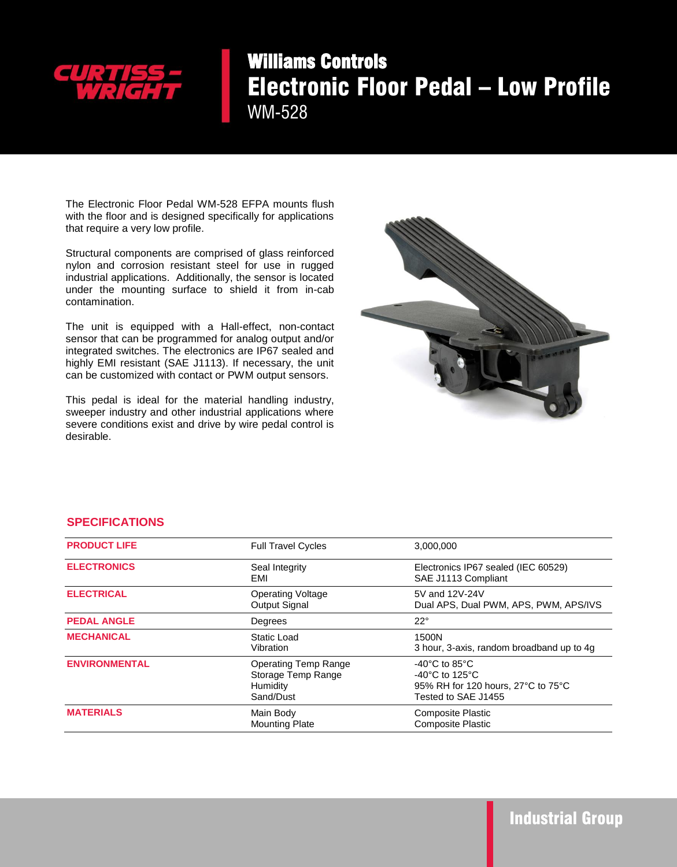

## Williams Controls Electronic Floor Pedal – Low Profile WM-528

The Electronic Floor Pedal WM-528 EFPA mounts flush with the floor and is designed specifically for applications that require a very low profile.

Structural components are comprised of glass reinforced nylon and corrosion resistant steel for use in rugged industrial applications. Additionally, the sensor is located under the mounting surface to shield it from in-cab contamination.

The unit is equipped with a Hall-effect, non-contact sensor that can be programmed for analog output and/or integrated switches. The electronics are IP67 sealed and highly EMI resistant (SAE J1113). If necessary, the unit can be customized with contact or PWM output sensors.

This pedal is ideal for the material handling industry, sweeper industry and other industrial applications where severe conditions exist and drive by wire pedal control is desirable.



## **SPECIFICATIONS**

| <b>PRODUCT LIFE</b>  | <b>Full Travel Cycles</b>                                                  | 3,000,000                                                                                                                               |
|----------------------|----------------------------------------------------------------------------|-----------------------------------------------------------------------------------------------------------------------------------------|
| <b>ELECTRONICS</b>   | Seal Integrity<br>EMI                                                      | Electronics IP67 sealed (IEC 60529)<br>SAE J1113 Compliant                                                                              |
| <b>ELECTRICAL</b>    | <b>Operating Voltage</b><br>Output Signal                                  | 5V and 12V-24V<br>Dual APS, Dual PWM, APS, PWM, APS/IVS                                                                                 |
| <b>PEDAL ANGLE</b>   | Degrees                                                                    | $22^{\circ}$                                                                                                                            |
| <b>MECHANICAL</b>    | Static Load<br>Vibration                                                   | 1500N<br>3 hour, 3-axis, random broadband up to 4q                                                                                      |
| <b>ENVIRONMENTAL</b> | <b>Operating Temp Range</b><br>Storage Temp Range<br>Humidity<br>Sand/Dust | -40 $^{\circ}$ C to 85 $^{\circ}$ C<br>$-40^{\circ}$ C to 125 $^{\circ}$ C<br>95% RH for 120 hours, 27°C to 75°C<br>Tested to SAE J1455 |
| <b>MATERIALS</b>     | Main Body<br><b>Mounting Plate</b>                                         | <b>Composite Plastic</b><br><b>Composite Plastic</b>                                                                                    |